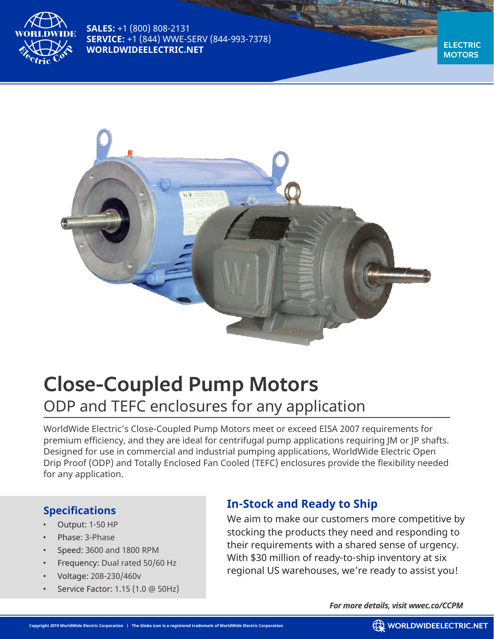

**SALES:** +1 (800) 808-2131 **SERVICE:** +1 (844) WWE-SERV (844-993-7378) **WORLDWIDEELECTRIC.NET**

**ELECTRIC MOTORS**



# **Close-Coupled Pump Motors** ODP and TEFC enclosures for any application

WorldWide Electric's Close-Coupled Pump Motors meet or exceed EISA 2007 requirements for premium efficiency, and they are ideal for centrifugal pump applications requiring JM or JP shafts. Designed for use in commercial and industrial pumping applications, WorldWide Electric Open Drip Proof (ODP) and Totally Enclosed Fan Cooled (TEFC) enclosures provide the flexibility needed for any application.

## **Specifications**

- Output: 1-50 HP
- Phase: 3-Phase
- Speed: 3600 and 1800 RPM
- Frequency: Dual rated 50/60 Hz
- Voltage: 208-230/460v
- Service Factor: 1.15 (1.0 @ 50Hz)

# **In-Stock and Ready to Ship**

We aim to make our customers more competitive by stocking the products they need and responding to their requirements with a shared sense of urgency. With \$30 million of ready-to-ship inventory at six regional US warehouses, we're ready to assist you!

*For more details, visit wwec.co/CCPM*